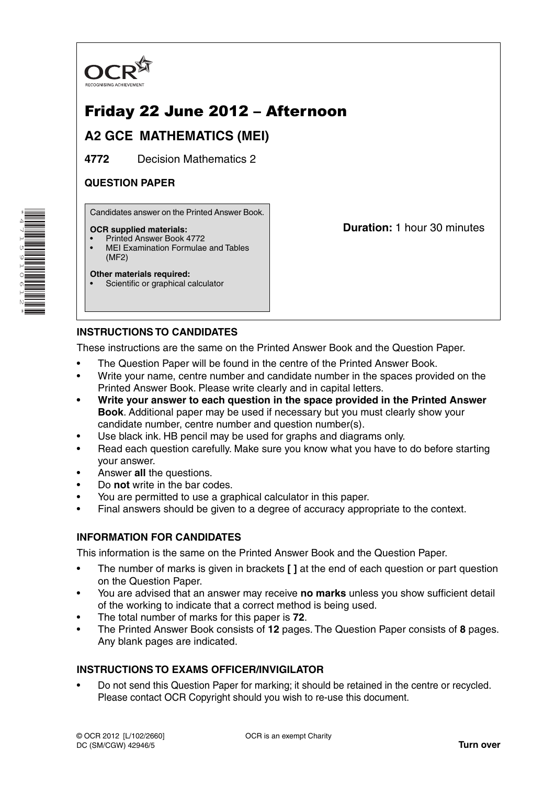

# Friday 22 June 2012 – Afternoon

## **A2 GCE MATHEMATICS (MEI)**

**4772** Decision Mathematics 2

## **QUESTION PAPER**

Candidates answer on the Printed Answer Book.

#### **OCR supplied materials:**

- Printed Answer Book 4772
- MEI Examination Formulae and Tables (MF2)

#### **Other materials required:**

Scientific or graphical calculator

**Duration:** 1 hour 30 minutes

## **INSTRUCTIONS TO CANDIDATES**

These instructions are the same on the Printed Answer Book and the Question Paper.

- The Question Paper will be found in the centre of the Printed Answer Book.
- Write your name, centre number and candidate number in the spaces provided on the Printed Answer Book. Please write clearly and in capital letters.
- **Write your answer to each question in the space provided in the Printed Answer Book**. Additional paper may be used if necessary but you must clearly show your candidate number, centre number and question number(s).
- Use black ink. HB pencil may be used for graphs and diagrams only.
- Read each question carefully. Make sure you know what you have to do before starting your answer.
- Answer **all** the questions.
- Do **not** write in the bar codes.
- You are permitted to use a graphical calculator in this paper.
- Final answers should be given to a degree of accuracy appropriate to the context.

## **INFORMATION FOR CANDIDATES**

This information is the same on the Printed Answer Book and the Question Paper.

- The number of marks is given in brackets **[ ]** at the end of each question or part question on the Question Paper.
- You are advised that an answer may receive **no marks** unless you show sufficient detail of the working to indicate that a correct method is being used.
- The total number of marks for this paper is **72**.
- The Printed Answer Book consists of **12** pages. The Question Paper consists of **8** pages. Any blank pages are indicated.

## **INSTRUCTIONS TO EXAMS OFFICER/INVIGILATOR**

• Do not send this Question Paper for marking; it should be retained in the centre or recycled. Please contact OCR Copyright should you wish to re-use this document.

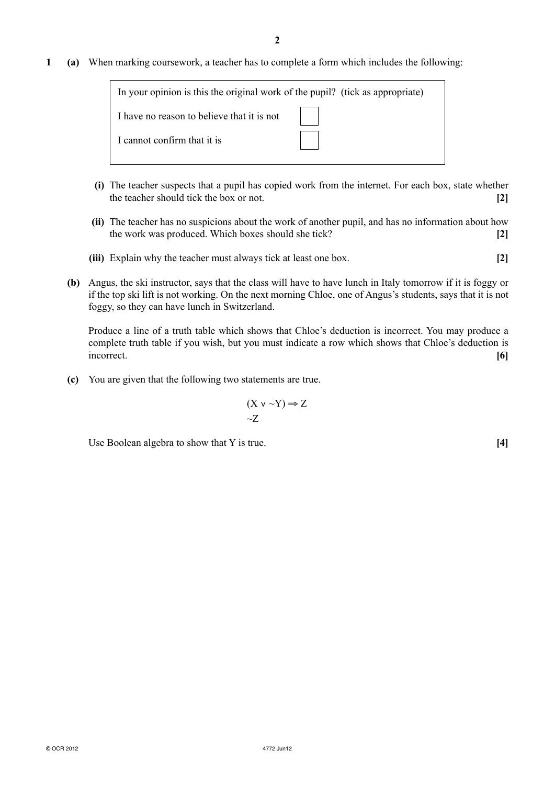**1 (a)** When marking coursework, a teacher has to complete a form which includes the following:



- **(i)** The teacher suspects that a pupil has copied work from the internet. For each box, state whether the teacher should tick the box or not. **[2]**
- **(ii)** The teacher has no suspicions about the work of another pupil, and has no information about how the work was produced. Which boxes should she tick? **[2]**
- **(iii)** Explain why the teacher must always tick at least one box. **[2]**
- **(b)** Angus, the ski instructor, says that the class will have to have lunch in Italy tomorrow if it is foggy or if the top ski lift is not working. On the next morning Chloe, one of Angus's students, says that it is not foggy, so they can have lunch in Switzerland.

Produce a line of a truth table which shows that Chloe's deduction is incorrect. You may produce a complete truth table if you wish, but you must indicate a row which shows that Chloe's deduction is incorrect. **[6]**

 **(c)** You are given that the following two statements are true.

$$
(X \vee \neg Y) \Rightarrow Z
$$
  

$$
\neg Z
$$

Use Boolean algebra to show that Y is true. **[4]**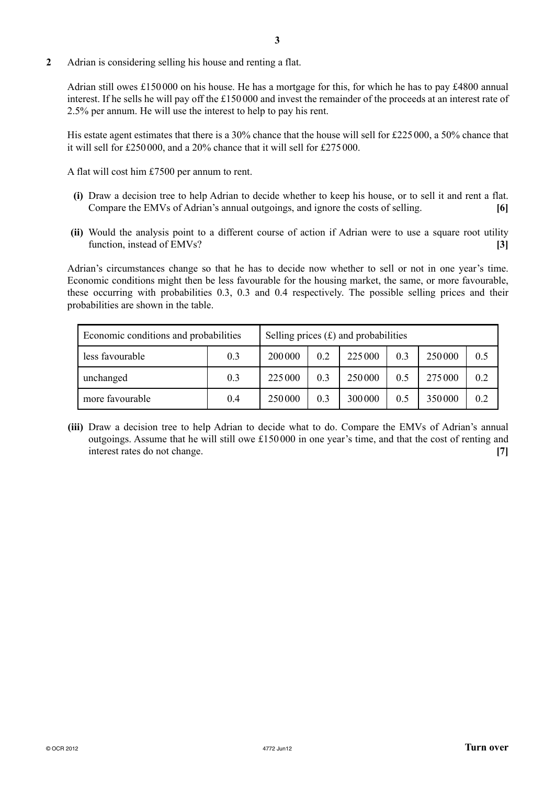**2** Adrian is considering selling his house and renting a flat.

Adrian still owes £150 000 on his house. He has a mortgage for this, for which he has to pay £4800 annual interest. If he sells he will pay off the £150 000 and invest the remainder of the proceeds at an interest rate of 2.5% per annum. He will use the interest to help to pay his rent.

His estate agent estimates that there is a 30% chance that the house will sell for £225 000, a 50% chance that it will sell for £250 000, and a 20% chance that it will sell for £275 000.

A flat will cost him £7500 per annum to rent.

- **(i)** Draw a decision tree to help Adrian to decide whether to keep his house, or to sell it and rent a flat. Compare the EMVs of Adrian's annual outgoings, and ignore the costs of selling. **[6]**
- **(ii)** Would the analysis point to a different course of action if Adrian were to use a square root utility function, instead of EMVs? **[3]**

Adrian's circumstances change so that he has to decide now whether to sell or not in one year's time. Economic conditions might then be less favourable for the housing market, the same, or more favourable, these occurring with probabilities 0.3, 0.3 and 0.4 respectively. The possible selling prices and their probabilities are shown in the table.

| Economic conditions and probabilities | Selling prices $(f)$ and probabilities |         |     |         |     |        |     |
|---------------------------------------|----------------------------------------|---------|-----|---------|-----|--------|-----|
| less favourable                       | 0.3                                    | 200 000 | 0.2 | 225 000 | 0.3 | 250000 | 0.5 |
| unchanged                             | 0.3                                    | 225 000 | 0.3 | 250000  | 0.5 | 275000 | 0.2 |
| more favourable                       | 0.4                                    | 250000  | 0.3 | 300000  | 0.5 | 350000 | 0.2 |

 **(iii)** Draw a decision tree to help Adrian to decide what to do. Compare the EMVs of Adrian's annual outgoings. Assume that he will still owe £150 000 in one year's time, and that the cost of renting and interest rates do not change. **[7]**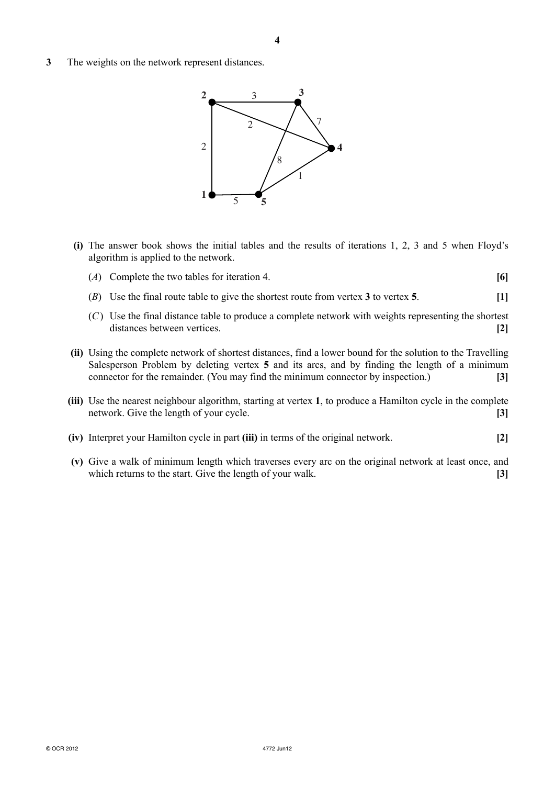**3** The weights on the network represent distances.



- **(i)** The answer book shows the initial tables and the results of iterations 1, 2, 3 and 5 when Floyd's algorithm is applied to the network.
	- (*A*) Complete the two tables for iteration 4. **[6]**
	- (*B*) Use the final route table to give the shortest route from vertex **3** to vertex **5**. **[1]**
	- (*C* ) Use the final distance table to produce a complete network with weights representing the shortest distances between vertices. **[2]**
- **(ii)** Using the complete network of shortest distances, find a lower bound for the solution to the Travelling Salesperson Problem by deleting vertex **5** and its arcs, and by finding the length of a minimum connector for the remainder. (You may find the minimum connector by inspection.) **[3]**
- **(iii)** Use the nearest neighbour algorithm, starting at vertex **1**, to produce a Hamilton cycle in the complete network. Give the length of your cycle. **[3]**
- **(iv)** Interpret your Hamilton cycle in part **(iii)** in terms of the original network. **[2]**
- **(v)** Give a walk of minimum length which traverses every arc on the original network at least once, and which returns to the start. Give the length of your walk. **[3]**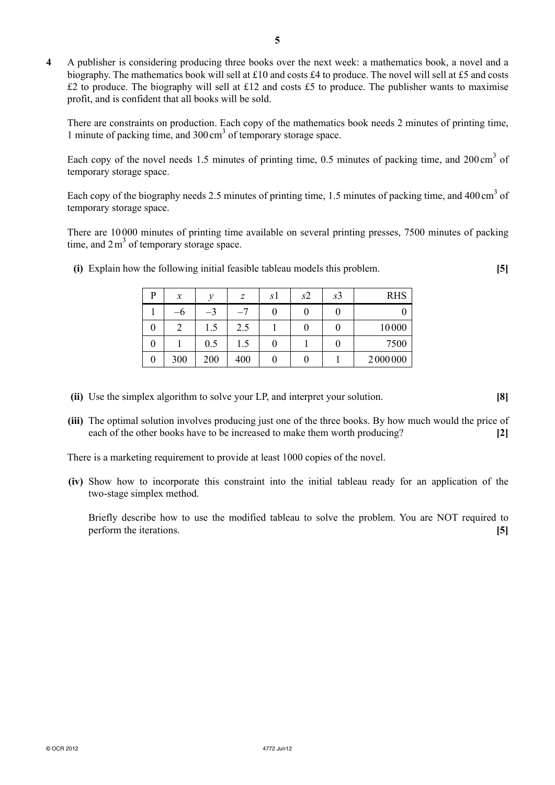**4** A publisher is considering producing three books over the next week: a mathematics book, a novel and a biography. The mathematics book will sell at £10 and costs £4 to produce. The novel will sell at £5 and costs £2 to produce. The biography will sell at £12 and costs £5 to produce. The publisher wants to maximise profit, and is confident that all books will be sold.

There are constraints on production. Each copy of the mathematics book needs 2 minutes of printing time, 1 minute of packing time, and  $300 \text{ cm}^3$  of temporary storage space.

Each copy of the novel needs 1.5 minutes of printing time, 0.5 minutes of packing time, and  $200 \text{ cm}^3$  of temporary storage space.

Each copy of the biography needs 2.5 minutes of printing time, 1.5 minutes of packing time, and  $400 \text{ cm}^3$  of temporary storage space.

There are 10 000 minutes of printing time available on several printing presses, 7500 minutes of packing time, and  $2 m<sup>3</sup>$  of temporary storage space.

| P | $\boldsymbol{x}$ |      | z   | s1 | s2 | s <sub>3</sub> | <b>RHS</b> |
|---|------------------|------|-----|----|----|----------------|------------|
|   | v                | $-3$ |     |    |    |                |            |
|   |                  | 1.5  | 2.5 |    |    |                | 10000      |
| 0 |                  | 0.5  | 1.5 |    |    |                | 7500       |
|   | 300              | 200  | 400 |    |    |                | 2000000    |

 **(i)** Explain how the following initial feasible tableau models this problem. **[5]**

- **(ii)** Use the simplex algorithm to solve your LP, and interpret your solution. **[8]**
- **(iii)** The optimal solution involves producing just one of the three books. By how much would the price of each of the other books have to be increased to make them worth producing? **[2]**

There is a marketing requirement to provide at least 1000 copies of the novel.

 **(iv)** Show how to incorporate this constraint into the initial tableau ready for an application of the two-stage simplex method.

Briefly describe how to use the modified tableau to solve the problem. You are NOT required to perform the iterations. **[5]**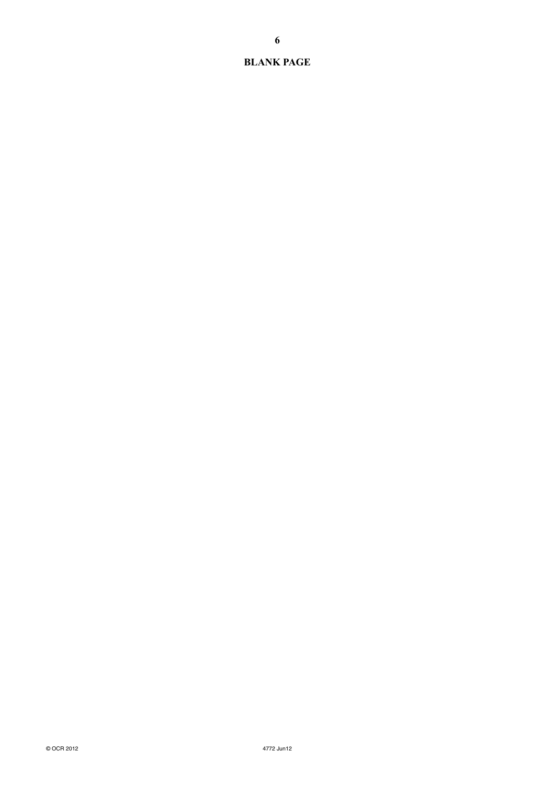#### **BLANK PAGE**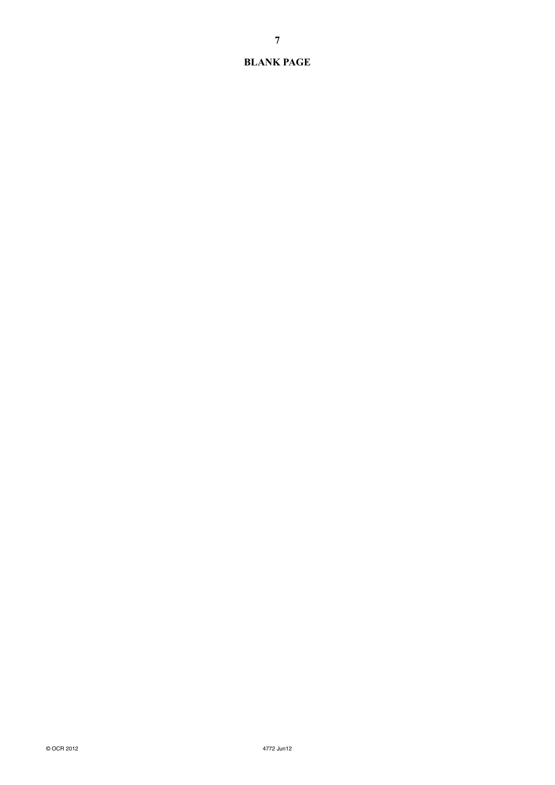#### **BLANK PAGE**